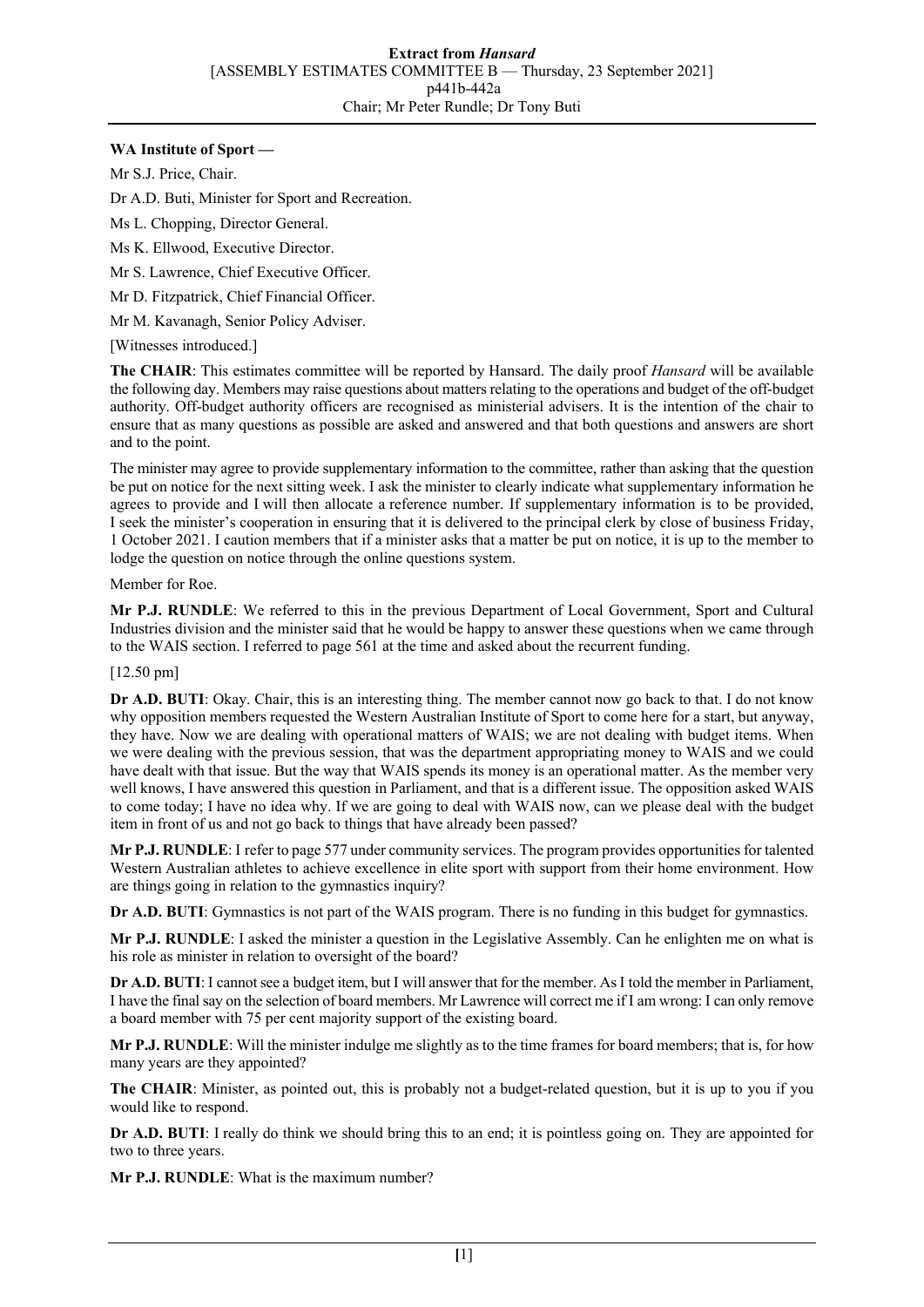## **WA Institute of Sport —**

Mr S.J. Price, Chair.

Dr A.D. Buti, Minister for Sport and Recreation.

Ms L. Chopping, Director General.

Ms K. Ellwood, Executive Director.

Mr S. Lawrence, Chief Executive Officer.

Mr D. Fitzpatrick, Chief Financial Officer.

Mr M. Kavanagh, Senior Policy Adviser.

[Witnesses introduced.]

**The CHAIR**: This estimates committee will be reported by Hansard. The daily proof *Hansard* will be available the following day. Members may raise questions about matters relating to the operations and budget of the off-budget authority. Off-budget authority officers are recognised as ministerial advisers. It is the intention of the chair to ensure that as many questions as possible are asked and answered and that both questions and answers are short and to the point.

The minister may agree to provide supplementary information to the committee, rather than asking that the question be put on notice for the next sitting week. I ask the minister to clearly indicate what supplementary information he agrees to provide and I will then allocate a reference number. If supplementary information is to be provided, I seek the minister's cooperation in ensuring that it is delivered to the principal clerk by close of business Friday, 1 October 2021. I caution members that if a minister asks that a matter be put on notice, it is up to the member to lodge the question on notice through the online questions system.

Member for Roe.

**Mr P.J. RUNDLE**: We referred to this in the previous Department of Local Government, Sport and Cultural Industries division and the minister said that he would be happy to answer these questions when we came through to the WAIS section. I referred to page 561 at the time and asked about the recurrent funding.

## [12.50 pm]

**Dr A.D. BUTI**: Okay. Chair, this is an interesting thing. The member cannot now go back to that. I do not know why opposition members requested the Western Australian Institute of Sport to come here for a start, but anyway, they have. Now we are dealing with operational matters of WAIS; we are not dealing with budget items. When we were dealing with the previous session, that was the department appropriating money to WAIS and we could have dealt with that issue. But the way that WAIS spends its money is an operational matter. As the member very well knows, I have answered this question in Parliament, and that is a different issue. The opposition asked WAIS to come today; I have no idea why. If we are going to deal with WAIS now, can we please deal with the budget item in front of us and not go back to things that have already been passed?

**Mr P.J. RUNDLE**: I refer to page 577 under community services. The program provides opportunities for talented Western Australian athletes to achieve excellence in elite sport with support from their home environment. How are things going in relation to the gymnastics inquiry?

**Dr A.D. BUTI**: Gymnastics is not part of the WAIS program. There is no funding in this budget for gymnastics.

**Mr P.J. RUNDLE**: I asked the minister a question in the Legislative Assembly. Can he enlighten me on what is his role as minister in relation to oversight of the board?

**Dr A.D. BUTI**: I cannot see a budget item, but I will answer that for the member. As I told the member in Parliament, I have the final say on the selection of board members. Mr Lawrence will correct me if I am wrong: I can only remove a board member with 75 per cent majority support of the existing board.

**Mr P.J. RUNDLE**: Will the minister indulge me slightly as to the time frames for board members; that is, for how many years are they appointed?

**The CHAIR**: Minister, as pointed out, this is probably not a budget-related question, but it is up to you if you would like to respond.

**Dr A.D. BUTI:** I really do think we should bring this to an end; it is pointless going on. They are appointed for two to three years.

**Mr P.J. RUNDLE**: What is the maximum number?